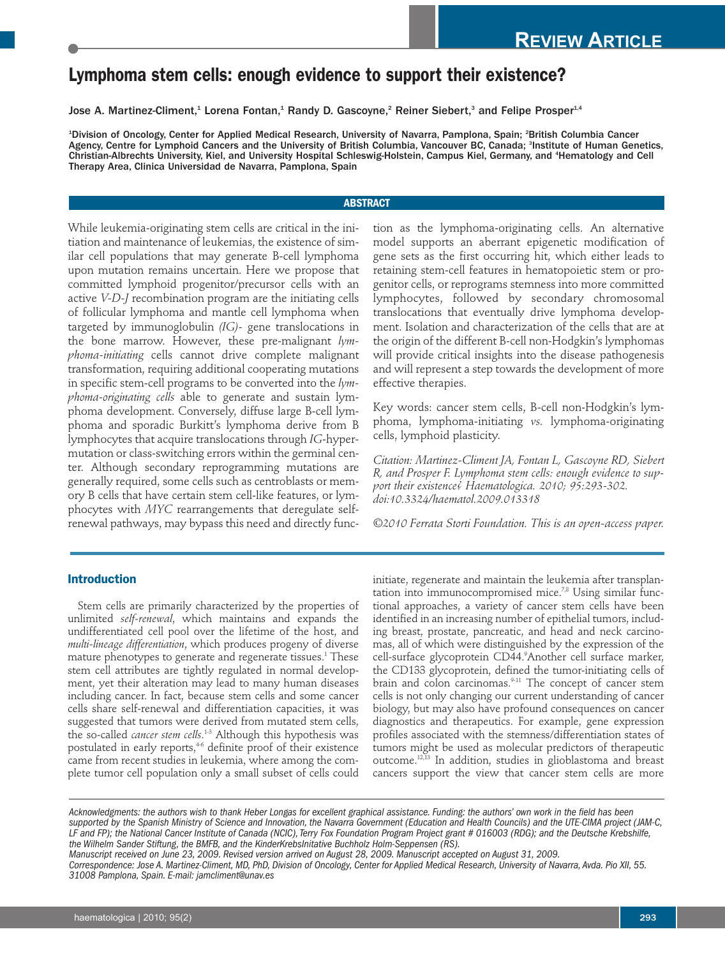# **Lymphoma stem cells: enough evidence to support their existence?**

Jose A. Martinez-Climent,<sup>1</sup> Lorena Fontan,<sup>1</sup> Randy D. Gascoyne,<sup>2</sup> Reiner Siebert,<sup>3</sup> and Felipe Prosper<sup>1,4</sup>

1 Division of Oncology, Center for Applied Medical Research, University of Navarra, Pamplona, Spain; 2 British Columbia Cancer Agency, Centre for Lymphoid Cancers and the University of British Columbia, Vancouver BC, Canada; <sup>3</sup>Institute of Human Genetics, Christian-Albrechts University, Kiel, and University Hospital Schleswig-Holstein, Campus Kiel, Germany, and 4 Hematology and Cell Therapy Area, Clinica Universidad de Navarra, Pamplona, Spain

# **ABSTRACT**

While leukemia-originating stem cells are critical in the initiation and maintenance of leukemias, the existence of similar cell populations that may generate B-cell lymphoma upon mutation remains uncertain. Here we propose that committed lymphoid progenitor/precursor cells with an active *V-D-J* recombination program are the initiating cells of follicular lymphoma and mantle cell lymphoma when targeted by immunoglobulin *(IG)-* gene translocations in the bone marrow. However, these pre-malignant *lymphoma-initiating* cells cannot drive complete malignant transformation, requiring additional cooperating mutations in specific stem-cell programs to be converted into the *lymphoma-originating cells* able to generate and sustain lymphoma development. Conversely, diffuse large B-cell lymphoma and sporadic Burkitt's lymphoma derive from B lymphocytes that acquire translocations through *IG*-hypermutation or class-switching errors within the germinal center. Although secondary reprogramming mutations are generally required, some cells such as centroblasts or memory B cells that have certain stem cell-like features, or lymphocytes with *MYC* rearrangements that deregulate selfrenewal pathways, may bypass this need and directly function as the lymphoma-originating cells. An alternative model supports an aberrant epigenetic modification of gene sets as the first occurring hit, which either leads to retaining stem-cell features in hematopoietic stem or progenitor cells, or reprograms stemness into more committed lymphocytes, followed by secondary chromosomal translocations that eventually drive lymphoma development. Isolation and characterization of the cells that are at the origin of the different B-cell non-Hodgkin's lymphomas will provide critical insights into the disease pathogenesis and will represent a step towards the development of more effective therapies.

Key words: cancer stem cells, B-cell non-Hodgkin's lymphoma, lymphoma-initiating *vs.* lymphoma-originating cells, lymphoid plasticity.

*Citation: Martinez-Climent JA, Fontan L, Gascoyne RD, Siebert R, and Prosper F. Lymphoma stem cells: enough evidence to support their existence? Haematologica. 2010; 95:293-302. doi:10.3324/haematol.2009.013318* 

*©2010 Ferrata Storti Foundation. This is an open-access paper.* 

# **Introduction**

Stem cells are primarily characterized by the properties of unlimited *self-renewal*, which maintains and expands the undifferentiated cell pool over the lifetime of the host, and *multi-lineage differentiation*, which produces progeny of diverse mature phenotypes to generate and regenerate tissues.<sup>1</sup> These stem cell attributes are tightly regulated in normal development, yet their alteration may lead to many human diseases including cancer. In fact, because stem cells and some cancer cells share self-renewal and differentiation capacities, it was suggested that tumors were derived from mutated stem cells, the so-called *cancer stem cells*. 1-3 Although this hypothesis was postulated in early reports,<sup>46</sup> definite proof of their existence came from recent studies in leukemia, where among the complete tumor cell population only a small subset of cells could initiate, regenerate and maintain the leukemia after transplantation into immunocompromised mice.<sup>7,8</sup> Using similar functional approaches, a variety of cancer stem cells have been identified in an increasing number of epithelial tumors, including breast, prostate, pancreatic, and head and neck carcinomas, all of which were distinguished by the expression of the cell-surface glycoprotein CD44.9 Another cell surface marker, the CD133 glycoprotein, defined the tumor-initiating cells of brain and colon carcinomas.<sup>9-11</sup> The concept of cancer stem cells is not only changing our current understanding of cancer biology, but may also have profound consequences on cancer diagnostics and therapeutics. For example, gene expression profiles associated with the stemness/differentiation states of tumors might be used as molecular predictors of therapeutic outcome.12,13 In addition, studies in glioblastoma and breast cancers support the view that cancer stem cells are more

*Acknowledgments: the authors wish to thank Heber Longas for excellent graphical assistance. Funding: the authors' own work in the field has been supported by the Spanish Ministry of Science and Innovation, the Navarra Government (Education and Health Councils) and the UTE-CIMA project (JAM-C, LF and FP); the National Cancer Institute of Canada (NCIC), Terry Fox Foundation Program Project grant # 016003 (RDG); and the Deutsche Krebshilfe, the Wilhelm Sander Stiftung, the BMFB, and the KinderKrebsInitative Buchholz Holm-Seppensen (RS).*

*Manuscript received on June 23, 2009. Revised version arrived on August 28, 2009. Manuscript accepted on August 31, 2009.*

*Correspondence: Jose A. Martinez-Climent, MD, PhD, Division of Oncology, Center for Applied Medical Research, University of Navarra, Avda. Pio XII, 55. 31008 Pamplona, Spain. E-mail: jamcliment@unav.es*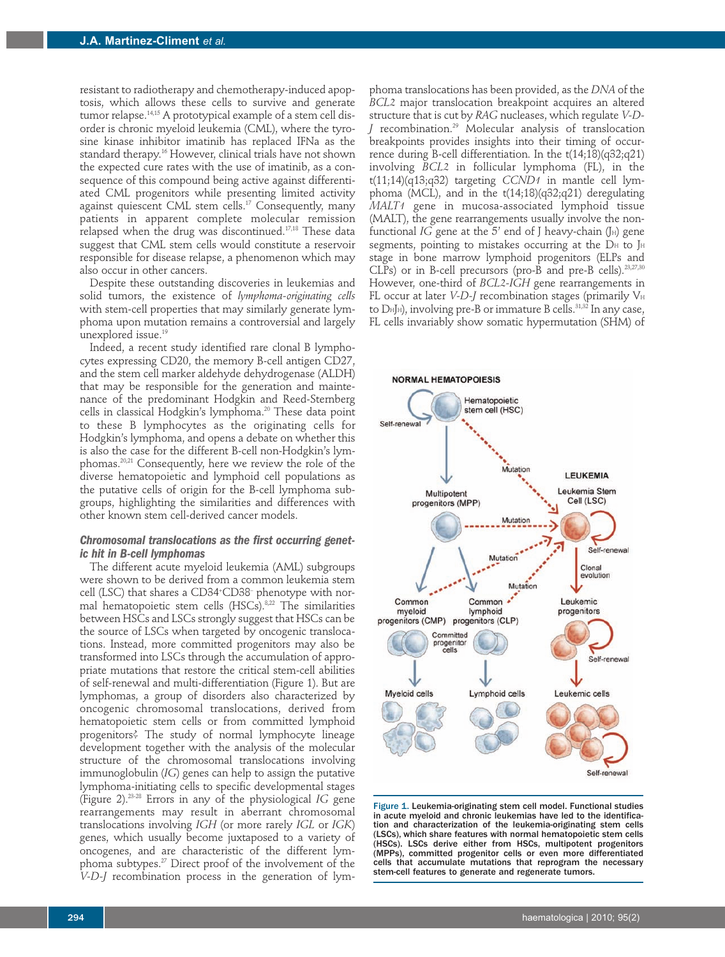resistant to radiotherapy and chemotherapy-induced apoptosis, which allows these cells to survive and generate tumor relapse.<sup>14,15</sup> A prototypical example of a stem cell disorder is chronic myeloid leukemia (CML), where the tyrosine kinase inhibitor imatinib has replaced IFNa as the standard therapy.<sup>16</sup> However, clinical trials have not shown the expected cure rates with the use of imatinib, as a consequence of this compound being active against differentiated CML progenitors while presenting limited activity against quiescent CML stem cells.<sup>17</sup> Consequently, many patients in apparent complete molecular remission relapsed when the drug was discontinued.17,18 These data suggest that CML stem cells would constitute a reservoir responsible for disease relapse, a phenomenon which may also occur in other cancers.

Despite these outstanding discoveries in leukemias and solid tumors, the existence of *lymphoma-originating cells* with stem-cell properties that may similarly generate lymphoma upon mutation remains a controversial and largely unexplored issue.<sup>19</sup>

Indeed, a recent study identified rare clonal B lymphocytes expressing CD20, the memory B-cell antigen CD27, and the stem cell marker aldehyde dehydrogenase (ALDH) that may be responsible for the generation and maintenance of the predominant Hodgkin and Reed-Sternberg cells in classical Hodgkin's lymphoma.<sup>20</sup> These data point to these B lymphocytes as the originating cells for Hodgkin's lymphoma, and opens a debate on whether this is also the case for the different B-cell non-Hodgkin's lymphomas.20,21 Consequently, here we review the role of the diverse hematopoietic and lymphoid cell populations as the putative cells of origin for the B-cell lymphoma subgroups, highlighting the similarities and differences with other known stem cell-derived cancer models.

## *Chromosomal translocations as the first occurring genetic hit in B-cell lymphomas*

The different acute myeloid leukemia (AML) subgroups were shown to be derived from a common leukemia stem cell (LSC) that shares a CD34+ CD38– phenotype with normal hematopoietic stem cells (HSCs).<sup>8,22</sup> The similarities between HSCs and LSCs strongly suggest that HSCs can be the source of LSCs when targeted by oncogenic translocations. Instead, more committed progenitors may also be transformed into LSCs through the accumulation of appropriate mutations that restore the critical stem-cell abilities of self-renewal and multi-differentiation (Figure 1). But are lymphomas, a group of disorders also characterized by oncogenic chromosomal translocations, derived from hematopoietic stem cells or from committed lymphoid progenitors? The study of normal lymphocyte lineage development together with the analysis of the molecular structure of the chromosomal translocations involving immunoglobulin (*IG*) genes can help to assign the putative lymphoma-initiating cells to specific developmental stages (Figure 2).23-28 Errors in any of the physiological *IG* gene rearrangements may result in aberrant chromosomal translocations involving *IGH* (or more rarely *IGL* or *IGK*) genes, which usually become juxtaposed to a variety of oncogenes, and are characteristic of the different lymphoma subtypes.27 Direct proof of the involvement of the *V-D-J* recombination process in the generation of lym-

phoma translocations has been provided, as the *DNA* of the *BCL2* major translocation breakpoint acquires an altered structure that is cut by *RAG* nucleases, which regulate *V-D*recombination.<sup>29</sup> Molecular analysis of translocation breakpoints provides insights into their timing of occurrence during B-cell differentiation. In the t(14;18)(q32;q21) involving *BCL2* in follicular lymphoma (FL), in the t(11;14)(q13;q32) targeting *CCND1* in mantle cell lymphoma (MCL), and in the  $t(14;18)(q32;q21)$  deregulating *MALT1* gene in mucosa-associated lymphoid tissue (MALT), the gene rearrangements usually involve the nonfunctional *IG* gene at the  $5'$  end of J heavy-chain  $(J_H)$  gene segments, pointing to mistakes occurring at the  $D_H$  to  $J_H$ stage in bone marrow lymphoid progenitors (ELPs and CLPs) or in B-cell precursors (pro-B and pre-B cells). $^{23,27,30}$ However, one-third of *BCL2-IGH* gene rearrangements in FL occur at later  $V-D-J$  recombination stages (primarily  $V_H$ to DHJH), involving pre-B or immature B cells.31,32 In any case, FL cells invariably show somatic hypermutation (SHM) of



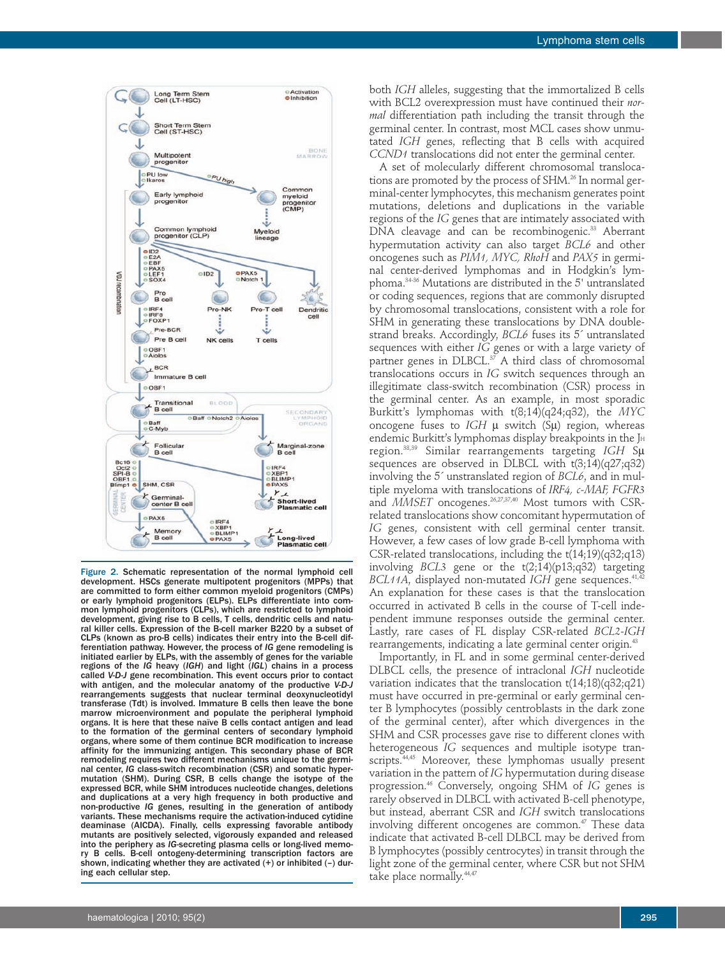

Figure 2. Schematic representation of the normal lymphoid cell development. HSCs generate multipotent progenitors (MPPs) that are committed to form either common myeloid progenitors (CMPs) or early lymphoid progenitors (ELPs). ELPs differentiate into common lymphoid progenitors (CLPs), which are restricted to lymphoid mon lymphoid progenitors (CLPs), which are restricted to lymphoid development, giving rise to B cells, T cells, dendritic cells and natural killer cells. Expression of the B-cell marker B220 by a subset of CLPs (known as pro-B cells) indicates their entry into the B-cell differentiation pathway. However, the process of *IG* gene remodeling is initiated earlier by ELPs, with the assembly of genes for the variable regions of the *IG* heavy (*IGH*) and light (*IGL*) chains in a process called *V-D-J* gene recombination. This event occurs prior to contact with antigen, and the molecular anatomy of the productive *V-D-J* rearrangements suggests that nuclear terminal deoxynucleotidyl transferase (Tdt) is involved. Immature B cells then leave the bone marrow microenvironment and populate the peripheral lymphoid organs. It is here that these naïve B cells contact antigen and lead to the formation of the germinal centers of secondary lymphoid organs, where some of them continue BCR modification to increase affinity for the immunizing antigen. This secondary phase of BCR remodeling requires two different mechanisms unique to the germinal center, *IG* class-switch recombination (CSR) and somatic hypermutation (SHM). During CSR, B cells change the isotype of the expressed BCR, while SHM introduces nucleotide changes, deletions and duplications at a very high frequency in both productive and non-productive *IG* genes, resulting in the generation of antibody variants. These mechanisms require the activation-induced cytidine deaminase (AICDA). Finally, cells expressing favorable antibody mutants are positively selected, vigorously expanded and released into the periphery as *IG*-secreting plasma cells or long-lived memory B cells. B-cell ontogeny-determining transcription factors are shown, indicating whether they are activated (+) or inhibited (–) during each cellular step.

both *IGH* alleles, suggesting that the immortalized B cells with BCL2 overexpression must have continued their *normal* differentiation path including the transit through the germinal center. In contrast, most MCL cases show unmutated *IGH* genes, reflecting that B cells with acquired *CCND1* translocations did not enter the germinal center.

A set of molecularly different chromosomal translocations are promoted by the process of SHM.<sup>26</sup> In normal germinal-center lymphocytes, this mechanism generates point mutations, deletions and duplications in the variable regions of the *IG* genes that are intimately associated with DNA cleavage and can be recombinogenic.<sup>33</sup> Aberrant hypermutation activity can also target *BCL6* and other oncogenes such as *PIM1, MYC, RhoH* and *PAX5* in germinal center-derived lymphomas and in Hodgkin's lymphoma.34-36 Mutations are distributed in the 5' untranslated or coding sequences, regions that are commonly disrupted by chromosomal translocations, consistent with a role for SHM in generating these translocations by DNA doublestrand breaks. Accordingly, *BCL6* fuses its 5´ untranslated sequences with either *IG* genes or with a large variety of partner genes in DLBCL. $37$  A third class of chromosomal translocations occurs in *IG* switch sequences through an illegitimate class-switch recombination (CSR) process in the germinal center. As an example, in most sporadic Burkitt's lymphomas with t(8;14)(q24;q32), the *MYC* oncogene fuses to *IGH* µ switch (Sµ) region, whereas endemic Burkitt's lymphomas display breakpoints in the JH region.38,39 Similar rearrangements targeting *IGH* Sµ sequences are observed in DLBCL with t(3;14)(q27;q32) involving the 5´ unstranslated region of *BCL6*, and in multiple myeloma with translocations of *IRF4, c-MAF, FGFR3* and *MMSET* oncogenes.<sup>26,27,37,40</sup> Most tumors with CSRrelated translocations show concomitant hypermutation of *IG* genes, consistent with cell germinal center transit. However, a few cases of low grade B-cell lymphoma with CSR-related translocations, including the t(14;19)(q32;q13) involving *BCL3* gene or the t(2;14)(p13;q32) targeting *BCL11A*, displayed non-mutated *IGH* gene sequences.41,42 An explanation for these cases is that the translocation occurred in activated B cells in the course of T-cell independent immune responses outside the germinal center. Lastly, rare cases of FL display CSR-related *BCL2-IGH* rearrangements, indicating a late germinal center origin.<sup>43</sup>

Importantly, in FL and in some germinal center-derived DLBCL cells, the presence of intraclonal *IGH* nucleotide variation indicates that the translocation t(14;18)(q32;q21) must have occurred in pre-germinal or early germinal center B lymphocytes (possibly centroblasts in the dark zone of the germinal center), after which divergences in the SHM and CSR processes gave rise to different clones with heterogeneous *IG* sequences and multiple isotype transcripts.<sup>44,45</sup> Moreover, these lymphomas usually present variation in the pattern of *IG* hypermutation during disease progression.46 Conversely, ongoing SHM of *IG* genes is rarely observed in DLBCL with activated B-cell phenotype, but instead, aberrant CSR and *IGH* switch translocations involving different oncogenes are common.<sup>47</sup> These data indicate that activated B-cell DLBCL may be derived from B lymphocytes (possibly centrocytes) in transit through the light zone of the germinal center, where CSR but not SHM take place normally. 44,47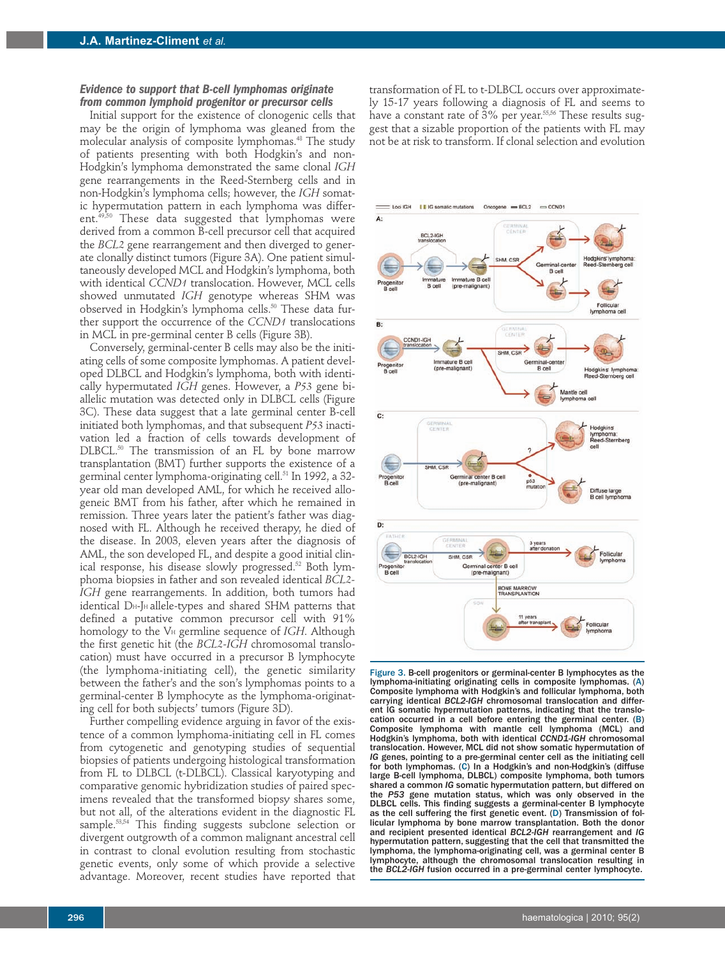#### *Evidence to support that B-cell lymphomas originate from common lymphoid progenitor or precursor cells*

Initial support for the existence of clonogenic cells that may be the origin of lymphoma was gleaned from the molecular analysis of composite lymphomas.48 The study of patients presenting with both Hodgkin's and non-Hodgkin's lymphoma demonstrated the same clonal *IGH* gene rearrangements in the Reed-Sternberg cells and in non-Hodgkin's lymphoma cells; however, the *IGH* somatic hypermutation pattern in each lymphoma was different.<sup>49,50</sup> These data suggested that lymphomas were derived from a common B-cell precursor cell that acquired the *BCL2* gene rearrangement and then diverged to generate clonally distinct tumors (Figure 3A). One patient simultaneously developed MCL and Hodgkin's lymphoma, both with identical *CCND1* translocation. However, MCL cells showed unmutated *IGH* genotype whereas SHM was observed in Hodgkin's lymphoma cells.<sup>50</sup> These data further support the occurrence of the *CCND1* translocations in MCL in pre-germinal center B cells (Figure 3B).

Conversely, germinal-center B cells may also be the initiating cells of some composite lymphomas. A patient developed DLBCL and Hodgkin's lymphoma, both with identically hypermutated *IGH* genes. However, a *P53* gene biallelic mutation was detected only in DLBCL cells (Figure 3C). These data suggest that a late germinal center B-cell initiated both lymphomas, and that subsequent *P53* inactivation led a fraction of cells towards development of DLBCL.<sup>50</sup> The transmission of an FL by bone marrow transplantation (BMT) further supports the existence of a germinal center lymphoma-originating cell.<sup>51</sup> In 1992, a 32year old man developed AML, for which he received allogeneic BMT from his father, after which he remained in remission. Three years later the patient's father was diagnosed with FL. Although he received therapy, he died of the disease. In 2003, eleven years after the diagnosis of AML, the son developed FL, and despite a good initial clinical response, his disease slowly progressed.<sup>52</sup> Both lymphoma biopsies in father and son revealed identical *BCL2- IGH* gene rearrangements. In addition, both tumors had identical D<sub>H</sub>-JH allele-types and shared SHM patterns that defined a putative common precursor cell with 91% homology to the V<sup>H</sup> germline sequence of *IGH*. Although the first genetic hit (the *BCL2-IGH* chromosomal translocation) must have occurred in a precursor B lymphocyte (the lymphoma-initiating cell), the genetic similarity between the father's and the son's lymphomas points to a germinal-center B lymphocyte as the lymphoma-originating cell for both subjects' tumors (Figure 3D).

Further compelling evidence arguing in favor of the existence of a common lymphoma-initiating cell in FL comes from cytogenetic and genotyping studies of sequential biopsies of patients undergoing histological transformation from FL to DLBCL (t-DLBCL). Classical karyotyping and comparative genomic hybridization studies of paired specimens revealed that the transformed biopsy shares some, but not all, of the alterations evident in the diagnostic FL sample.<sup>53,54</sup> This finding suggests subclone selection or divergent outgrowth of a common malignant ancestral cell in contrast to clonal evolution resulting from stochastic genetic events, only some of which provide a selective advantage. Moreover, recent studies have reported that transformation of FL to t-DLBCL occurs over approximately 15-17 years following a diagnosis of FL and seems to have a constant rate of  $3\%$  per year.<sup>55,56</sup> These results suggest that a sizable proportion of the patients with FL may not be at risk to transform. If clonal selection and evolution



Figure 3. B-cell progenitors or germinal-center B lymphocytes as the lymphoma-initiating originating cells in composite lymphomas. (A) Composite lymphoma with Hodgkin's and follicular lymphoma, both carrying identical *BCL2-IGH* chromosomal translocation and different IG somatic hypermutation patterns, indicating that the translocation occurred in a cell before entering the germinal center. (B) Composite lymphoma with mantle cell lymphoma (MCL) and Hodgkin's lymphoma, both with identical *CCND1-IGH* chromosomal translocation. However, MCL did not show somatic hypermutation of *IG* genes, pointing to a pre-germinal center cell as the initiating cell for both lymphomas. (C) In a Hodgkin's and non-Hodgkin's (diffuse large B-cell lymphoma, DLBCL) composite lymphoma, both tumors shared a common *IG* somatic hypermutation pattern, but differed on the *P53* gene mutation status, which was only observed in the DLBCL cells. This finding suggests a germinal-center B lymphocyte as the cell suffering the first genetic event. (D) Transmission of follicular lymphoma by bone marrow transplantation. Both the donor and recipient presented identical *BCL2-IGH* rearrangement and *IG* hypermutation pattern, suggesting that the cell that transmitted the lymphoma, the lymphoma-originating cell, was a germinal center B lymphocyte, although the chromosomal translocation resulting in the *BCL2-IGH* fusion occurred in a pre-germinal center lymphocyte.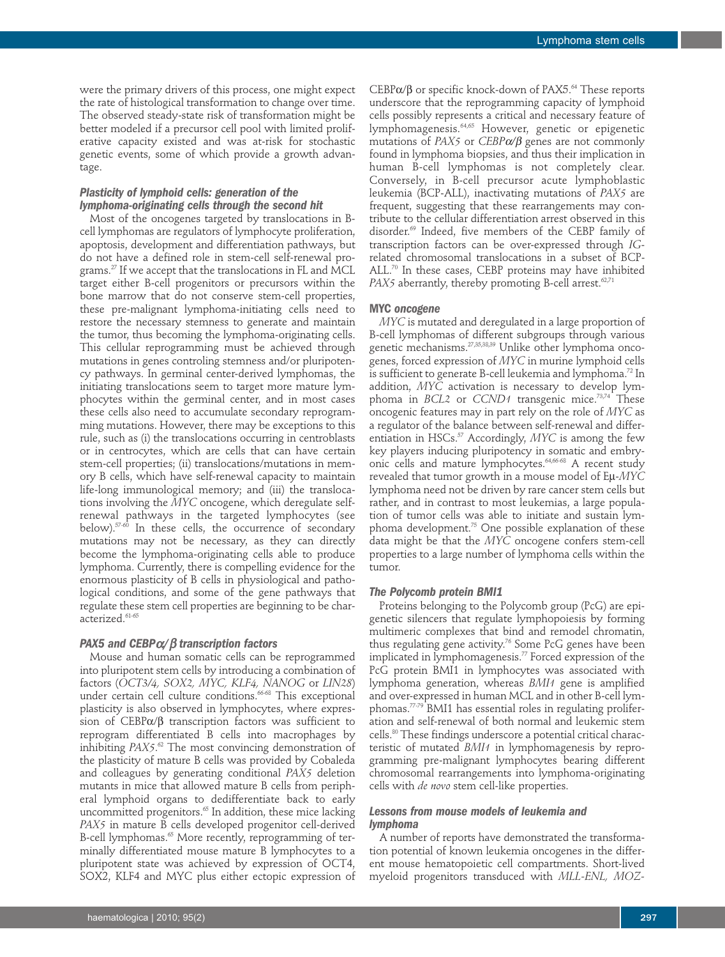were the primary drivers of this process, one might expect the rate of histological transformation to change over time. The observed steady-state risk of transformation might be better modeled if a precursor cell pool with limited proliferative capacity existed and was at-risk for stochastic genetic events, some of which provide a growth advantage.

# *Plasticity of lymphoid cells: generation of the lymphoma-originating cells through the second hit*

Most of the oncogenes targeted by translocations in Bcell lymphomas are regulators of lymphocyte proliferation, apoptosis, development and differentiation pathways, but do not have a defined role in stem-cell self-renewal programs.27 If we accept that the translocations in FL and MCL target either B-cell progenitors or precursors within the bone marrow that do not conserve stem-cell properties, these pre-malignant lymphoma-initiating cells need to restore the necessary stemness to generate and maintain the tumor, thus becoming the lymphoma-originating cells. This cellular reprogramming must be achieved through mutations in genes controling stemness and/or pluripotency pathways. In germinal center-derived lymphomas, the initiating translocations seem to target more mature lymphocytes within the germinal center, and in most cases these cells also need to accumulate secondary reprogramming mutations. However, there may be exceptions to this rule, such as (i) the translocations occurring in centroblasts or in centrocytes, which are cells that can have certain stem-cell properties; (ii) translocations/mutations in memory B cells, which have self-renewal capacity to maintain life-long immunological memory; and (iii) the translocations involving the *MYC* oncogene, which deregulate selfrenewal pathways in the targeted lymphocytes (see below).<sup>57-60</sup> In these cells, the occurrence of secondary mutations may not be necessary, as they can directly become the lymphoma-originating cells able to produce lymphoma. Currently, there is compelling evidence for the enormous plasticity of B cells in physiological and pathological conditions, and some of the gene pathways that regulate these stem cell properties are beginning to be characterized.<sup>61-65</sup>

# *PAX5 and CEBP*α*/*β *transcription factors*

Mouse and human somatic cells can be reprogrammed into pluripotent stem cells by introducing a combination of factors (*OCT3/4, SOX2, MYC, KLF4, NANOG* or *LIN28*) under certain cell culture conditions.<sup>66-68</sup> This exceptional plasticity is also observed in lymphocytes, where expression of CEBPα/β transcription factors was sufficient to reprogram differentiated B cells into macrophages by inhibiting *PAX5*. <sup>62</sup> The most convincing demonstration of the plasticity of mature B cells was provided by Cobaleda and colleagues by generating conditional *PAX5* deletion mutants in mice that allowed mature B cells from peripheral lymphoid organs to dedifferentiate back to early uncommitted progenitors.<sup>65</sup> In addition, these mice lacking *PAX5* in mature B cells developed progenitor cell-derived B-cell lymphomas.<sup>65</sup> More recently, reprogramming of terminally differentiated mouse mature B lymphocytes to a pluripotent state was achieved by expression of OCT4, SOX2, KLF4 and MYC plus either ectopic expression of

CEBPα/β or specific knock-down of PAX5.<sup>64</sup> These reports underscore that the reprogramming capacity of lymphoid cells possibly represents a critical and necessary feature of lymphomagenesis.64,65 However, genetic or epigenetic mutations of *PAX5* or *CEBP*α*/*β genes are not commonly found in lymphoma biopsies, and thus their implication in human B-cell lymphomas is not completely clear. Conversely, in B-cell precursor acute lymphoblastic leukemia (BCP-ALL), inactivating mutations of *PAX5* are frequent, suggesting that these rearrangements may contribute to the cellular differentiation arrest observed in this disorder.69 Indeed, five members of the CEBP family of transcription factors can be over-expressed through *IG*related chromosomal translocations in a subset of BCP- $ALL$ <sup>70</sup> In these cases, CEBP proteins may have inhibited *PAX5* aberrantly, thereby promoting B-cell arrest.<sup>62,71</sup>

#### **MYC** *oncogene*

*MYC* is mutated and deregulated in a large proportion of B-cell lymphomas of different subgroups through various genetic mechanisms.27,35,38,39 Unlike other lymphoma oncogenes, forced expression of *MYC* in murine lymphoid cells is sufficient to generate B-cell leukemia and lymphoma.72 In addition, *MYC* activation is necessary to develop lymphoma in *BCL2* or *CCND1* transgenic mice.73,74 These oncogenic features may in part rely on the role of *MYC* as a regulator of the balance between self-renewal and differentiation in HSCs.<sup>57</sup> Accordingly, *MYC* is among the few key players inducing pluripotency in somatic and embryonic cells and mature lymphocytes.<sup>64,66-68</sup> A recent study revealed that tumor growth in a mouse model of Eµ-*MYC* lymphoma need not be driven by rare cancer stem cells but rather, and in contrast to most leukemias, a large population of tumor cells was able to initiate and sustain lymphoma development.75 One possible explanation of these data might be that the *MYC* oncogene confers stem-cell properties to a large number of lymphoma cells within the tumor.

#### *The Polycomb protein BMI1*

Proteins belonging to the Polycomb group (PcG) are epigenetic silencers that regulate lymphopoiesis by forming multimeric complexes that bind and remodel chromatin, thus regulating gene activity.<sup>76</sup> Some PcG genes have been implicated in lymphomagenesis.<sup>77</sup> Forced expression of the PcG protein BMI1 in lymphocytes was associated with lymphoma generation, whereas *BMI1* gene is amplified and over-expressed in human MCL and in other B-cell lymphomas.77-79 BMI1 has essential roles in regulating proliferation and self-renewal of both normal and leukemic stem cells.<sup>80</sup> These findings underscore a potential critical characteristic of mutated *BMI1* in lymphomagenesis by reprogramming pre-malignant lymphocytes bearing different chromosomal rearrangements into lymphoma-originating cells with *de novo* stem cell-like properties.

## *Lessons from mouse models of leukemia and lymphoma*

A number of reports have demonstrated the transformation potential of known leukemia oncogenes in the different mouse hematopoietic cell compartments. Short-lived myeloid progenitors transduced with *MLL-ENL, MOZ-*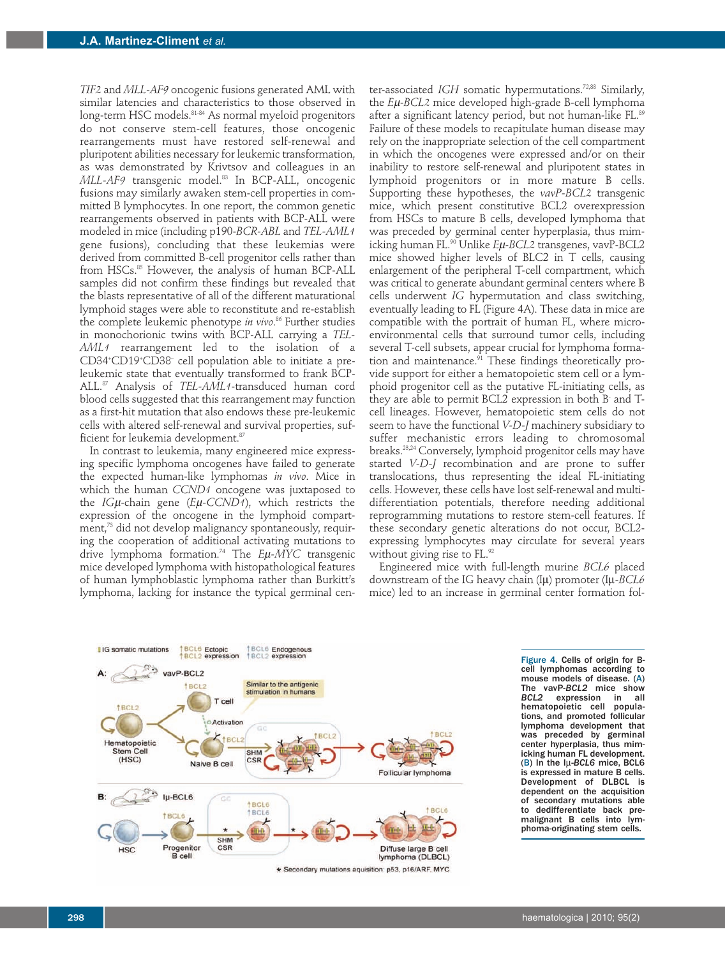*TIF2* and *MLL-AF9* oncogenic fusions generated AML with similar latencies and characteristics to those observed in long-term HSC models.<sup>81-84</sup> As normal myeloid progenitors do not conserve stem-cell features, those oncogenic rearrangements must have restored self-renewal and pluripotent abilities necessary for leukemic transformation, as was demonstrated by Krivtsov and colleagues in an *MLL-AF9* transgenic model.83 In BCP-ALL, oncogenic fusions may similarly awaken stem-cell properties in committed B lymphocytes. In one report, the common genetic rearrangements observed in patients with BCP-ALL were modeled in mice (including p190-*BCR-ABL* and *TEL-AML1* gene fusions), concluding that these leukemias were derived from committed B-cell progenitor cells rather than from HSCs.<sup>85</sup> However, the analysis of human BCP-ALL samples did not confirm these findings but revealed that the blasts representative of all of the different maturational lymphoid stages were able to reconstitute and re-establish the complete leukemic phenotype *in vivo*. <sup>86</sup> Further studies in monochorionic twins with BCP-ALL carrying a *TEL-AML1* rearrangement led to the isolation of a CD34+ CD19+ CD38– cell population able to initiate a preleukemic state that eventually transformed to frank BCP-ALL.87 Analysis of *TEL-AML1*-transduced human cord blood cells suggested that this rearrangement may function as a first-hit mutation that also endows these pre-leukemic cells with altered self-renewal and survival properties, sufficient for leukemia development.<sup>87</sup>

In contrast to leukemia, many engineered mice expressing specific lymphoma oncogenes have failed to generate the expected human-like lymphomas *in vivo*. Mice in which the human *CCND1* oncogene was juxtaposed to the *IG*µ-chain gene (*E*µ*-CCND1*), which restricts the expression of the oncogene in the lymphoid compartment,<sup>73</sup> did not develop malignancy spontaneously, requiring the cooperation of additional activating mutations to drive lymphoma formation.74 The *E*µ*-MYC* transgenic mice developed lymphoma with histopathological features of human lymphoblastic lymphoma rather than Burkitt's lymphoma, lacking for instance the typical germinal center-associated *IGH* somatic hypermutations.<sup>72,88</sup> Similarly, the *E*µ-*BCL2* mice developed high-grade B-cell lymphoma after a significant latency period, but not human-like FL.<sup>89</sup> Failure of these models to recapitulate human disease may rely on the inappropriate selection of the cell compartment in which the oncogenes were expressed and/or on their inability to restore self-renewal and pluripotent states in lymphoid progenitors or in more mature B cells. Supporting these hypotheses, the *vavP-BCL2* transgenic mice, which present constitutive BCL2 overexpression from HSCs to mature B cells, developed lymphoma that was preceded by germinal center hyperplasia, thus mimicking human FL.90 Unlike *E*µ-*BCL2* transgenes, vavP-BCL2 mice showed higher levels of BLC2 in  $T$  cells, causing enlargement of the peripheral T-cell compartment, which was critical to generate abundant germinal centers where B cells underwent *IG* hypermutation and class switching, eventually leading to FL (Figure 4A). These data in mice are compatible with the portrait of human FL, where microenvironmental cells that surround tumor cells, including several T-cell subsets, appear crucial for lymphoma formation and maintenance. $91$  These findings theoretically provide support for either a hematopoietic stem cell or a lymphoid progenitor cell as the putative FL-initiating cells, as they are able to permit BCL2 expression in both B- and Tcell lineages. However, hematopoietic stem cells do not seem to have the functional *V-D-J* machinery subsidiary to suffer mechanistic errors leading to chromosomal breaks.<sup>23,24</sup> Conversely, lymphoid progenitor cells may have started *V-D-J* recombination and are prone to suffer translocations, thus representing the ideal FL-initiating cells. However, these cells have lost self-renewal and multidifferentiation potentials, therefore needing additional reprogramming mutations to restore stem-cell features. If these secondary genetic alterations do not occur, BCL2 expressing lymphocytes may circulate for several years without giving rise to FL.<sup>92</sup>

Engineered mice with full-length murine *BCL6* placed downstream of the IG heavy chain (Iµ) promoter (Iµ*-BCL6* mice) led to an increase in germinal center formation fol-



Figure 4. Cells of origin for Bcell lymphomas according to mouse models of disease. (A) The vavP*-BCL2* mice show *BCL2* expression in all hematopoietic cell populations, and promoted follicular lymphoma development that was preceded by germinal center hyperplasia, thus mimicking human FL development. (B) In the Iµ-*BCL6* mice, BCL6 is expressed in mature B cells. Development of DLBCL is dependent on the acquisition of secondary mutations able to dedifferentiate back premalignant B cells into lymphoma-originating stem cells.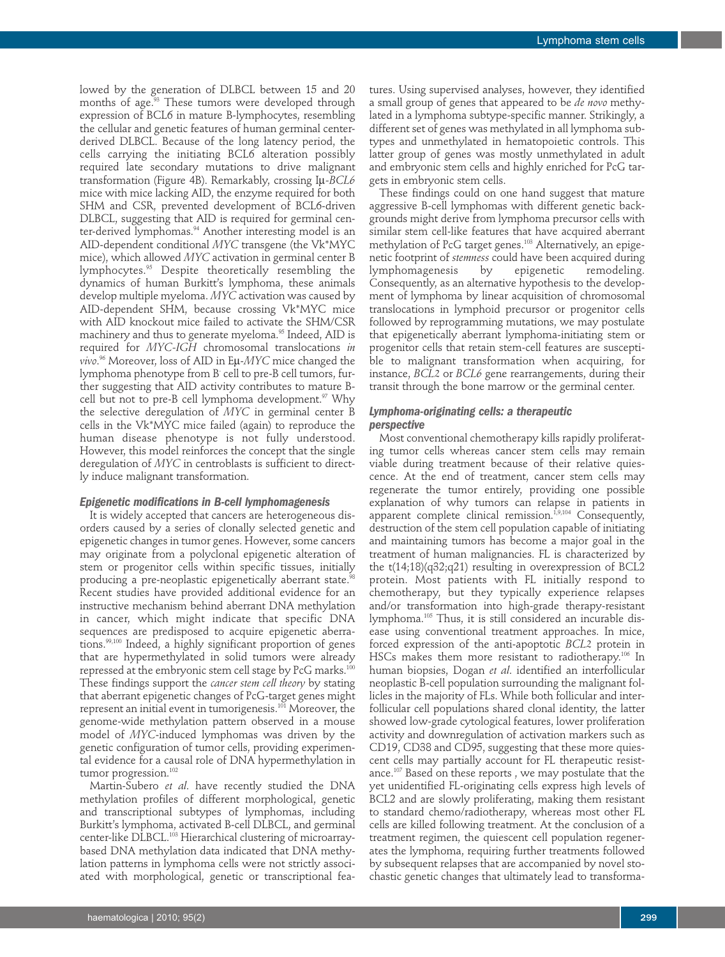lowed by the generation of DLBCL between 15 and 20 months of age.<sup>93</sup> These tumors were developed through expression of BCL6 in mature B-lymphocytes, resembling the cellular and genetic features of human germinal centerderived DLBCL. Because of the long latency period, the cells carrying the initiating BCL6 alteration possibly required late secondary mutations to drive malignant transformation (Figure 4B). Remarkably, crossing Iµ*-BCL6* mice with mice lacking AID, the enzyme required for both SHM and CSR, prevented development of BCL6-driven DLBCL, suggesting that AID is required for germinal center-derived lymphomas.<sup>94</sup> Another interesting model is an AID-dependent conditional *MYC* transgene (the Vk\*MYC mice), which allowed *MYC* activation in germinal center B lymphocytes.95 Despite theoretically resembling the dynamics of human Burkitt's lymphoma, these animals develop multiple myeloma. *MYC* activation was caused by AID-dependent SHM, because crossing Vk\*MYC mice with AID knockout mice failed to activate the SHM/CSR machinery and thus to generate myeloma.<sup>95</sup> Indeed, AID is required for *MYC-IGH* chromosomal translocations *in vivo*. <sup>96</sup> Moreover, loss of AID in Eµ-*MYC* mice changed the lymphoma phenotype from B-cell to pre-B cell tumors, further suggesting that AID activity contributes to mature Bcell but not to pre-B cell lymphoma development.<sup>97</sup> Why the selective deregulation of *MYC* in germinal center B cells in the Vk\*MYC mice failed (again) to reproduce the human disease phenotype is not fully understood. However, this model reinforces the concept that the single deregulation of *MYC* in centroblasts is sufficient to directly induce malignant transformation.

#### *Epigenetic modifications in B-cell lymphomagenesis*

It is widely accepted that cancers are heterogeneous disorders caused by a series of clonally selected genetic and epigenetic changes in tumor genes. However, some cancers may originate from a polyclonal epigenetic alteration of stem or progenitor cells within specific tissues, initially producing a pre-neoplastic epigenetically aberrant state.<sup>98</sup> Recent studies have provided additional evidence for an instructive mechanism behind aberrant DNA methylation in cancer, which might indicate that specific DNA sequences are predisposed to acquire epigenetic aberrations.<sup>99,100</sup> Indeed, a highly significant proportion of genes that are hypermethylated in solid tumors were already repressed at the embryonic stem cell stage by PcG marks.<sup>100</sup> These findings support the *cancer stem cell theory* by stating that aberrant epigenetic changes of PcG-target genes might represent an initial event in tumorigenesis.<sup>101</sup> Moreover, the genome-wide methylation pattern observed in a mouse model of *MYC*-induced lymphomas was driven by the genetic configuration of tumor cells, providing experimental evidence for a causal role of DNA hypermethylation in tumor progression.<sup>102</sup>

Martin-Subero *et al*. have recently studied the DNA methylation profiles of different morphological, genetic and transcriptional subtypes of lymphomas, including Burkitt's lymphoma, activated B-cell DLBCL, and germinal center-like DLBCL.<sup>103</sup> Hierarchical clustering of microarraybased DNA methylation data indicated that DNA methylation patterns in lymphoma cells were not strictly associated with morphological, genetic or transcriptional features. Using supervised analyses, however, they identified a small group of genes that appeared to be *de novo* methylated in a lymphoma subtype-specific manner. Strikingly, a different set of genes was methylated in all lymphoma subtypes and unmethylated in hematopoietic controls. This latter group of genes was mostly unmethylated in adult and embryonic stem cells and highly enriched for PcG targets in embryonic stem cells.

These findings could on one hand suggest that mature aggressive B-cell lymphomas with different genetic backgrounds might derive from lymphoma precursor cells with similar stem cell-like features that have acquired aberrant methylation of PcG target genes.<sup>103</sup> Alternatively, an epigenetic footprint of *stemness* could have been acquired during lymphomagenesis by epigenetic remodeling. Consequently, as an alternative hypothesis to the development of lymphoma by linear acquisition of chromosomal translocations in lymphoid precursor or progenitor cells followed by reprogramming mutations, we may postulate that epigenetically aberrant lymphoma-initiating stem or progenitor cells that retain stem-cell features are susceptible to malignant transformation when acquiring, for instance, *BCL2* or *BCL6* gene rearrangements, during their transit through the bone marrow or the germinal center.

# *Lymphoma-originating cells: a therapeutic perspective*

Most conventional chemotherapy kills rapidly proliferating tumor cells whereas cancer stem cells may remain viable during treatment because of their relative quiescence. At the end of treatment, cancer stem cells may regenerate the tumor entirely, providing one possible explanation of why tumors can relapse in patients in apparent complete clinical remission.<sup>1,9,104</sup> Consequently, destruction of the stem cell population capable of initiating and maintaining tumors has become a major goal in the treatment of human malignancies. FL is characterized by the  $t(14;18)(q32;q21)$  resulting in overexpression of BCL2 protein. Most patients with FL initially respond to chemotherapy, but they typically experience relapses and/or transformation into high-grade therapy-resistant lymphoma.105 Thus, it is still considered an incurable disease using conventional treatment approaches. In mice, forced expression of the anti-apoptotic *BCL2* protein in HSCs makes them more resistant to radiotherapy.<sup>106</sup> In human biopsies, Dogan *et al*. identified an interfollicular neoplastic B-cell population surrounding the malignant follicles in the majority of FLs. While both follicular and interfollicular cell populations shared clonal identity, the latter showed low-grade cytological features, lower proliferation activity and downregulation of activation markers such as CD19, CD38 and CD95, suggesting that these more quiescent cells may partially account for FL therapeutic resistance.107 Based on these reports , we may postulate that the yet unidentified FL-originating cells express high levels of BCL2 and are slowly proliferating, making them resistant to standard chemo/radiotherapy, whereas most other FL cells are killed following treatment. At the conclusion of a treatment regimen, the quiescent cell population regenerates the lymphoma, requiring further treatments followed by subsequent relapses that are accompanied by novel stochastic genetic changes that ultimately lead to transforma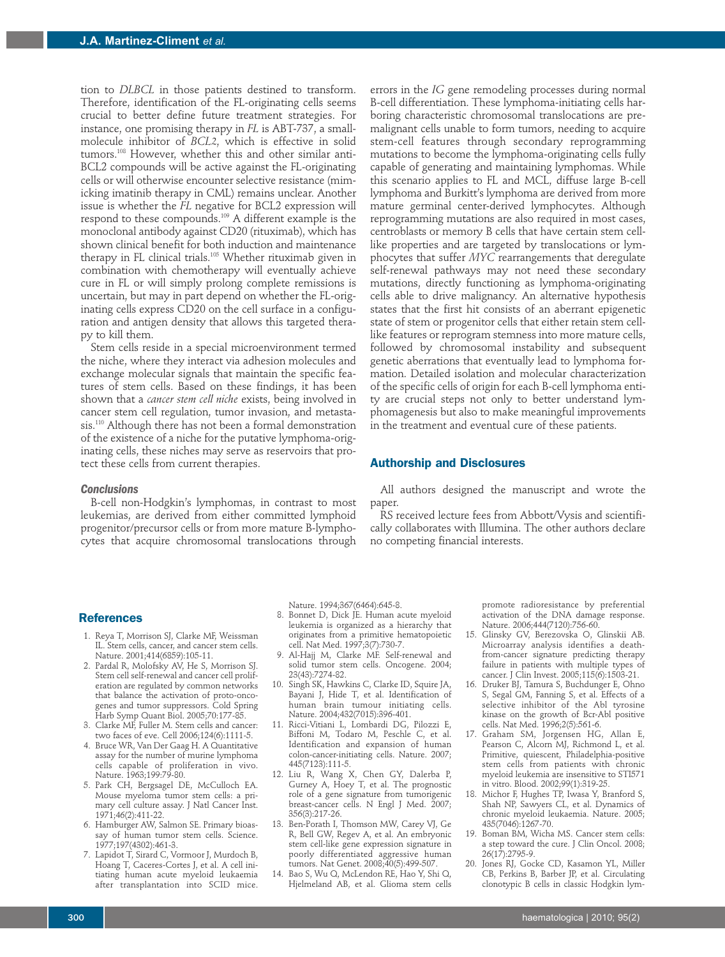tion to *DLBCL* in those patients destined to transform. Therefore, identification of the FL-originating cells seems crucial to better define future treatment strategies. For instance, one promising therapy in *FL* is ABT-737, a smallmolecule inhibitor of *BCL2*, which is effective in solid tumors.108 However, whether this and other similar anti-BCL2 compounds will be active against the FL-originating cells or will otherwise encounter selective resistance (mimicking imatinib therapy in CML) remains unclear. Another issue is whether the *FL* negative for BCL2 expression will respond to these compounds.109 A different example is the monoclonal antibody against CD20 (rituximab), which has shown clinical benefit for both induction and maintenance therapy in FL clinical trials.105 Whether rituximab given in combination with chemotherapy will eventually achieve cure in FL or will simply prolong complete remissions is uncertain, but may in part depend on whether the FL-originating cells express CD20 on the cell surface in a configuration and antigen density that allows this targeted therapy to kill them.

Stem cells reside in a special microenvironment termed the niche, where they interact via adhesion molecules and exchange molecular signals that maintain the specific features of stem cells. Based on these findings, it has been shown that a *cancer stem cell niche* exists, being involved in cancer stem cell regulation, tumor invasion, and metastasis.<sup>110</sup> Although there has not been a formal demonstration of the existence of a niche for the putative lymphoma-originating cells, these niches may serve as reservoirs that protect these cells from current therapies.

*Conclusions*

B-cell non-Hodgkin's lymphomas, in contrast to most leukemias, are derived from either committed lymphoid progenitor/precursor cells or from more mature B-lymphocytes that acquire chromosomal translocations through errors in the *IG* gene remodeling processes during normal B-cell differentiation. These lymphoma-initiating cells harboring characteristic chromosomal translocations are premalignant cells unable to form tumors, needing to acquire stem-cell features through secondary reprogramming mutations to become the lymphoma-originating cells fully capable of generating and maintaining lymphomas. While this scenario applies to FL and MCL, diffuse large B-cell lymphoma and Burkitt's lymphoma are derived from more mature germinal center-derived lymphocytes. Although reprogramming mutations are also required in most cases, centroblasts or memory B cells that have certain stem celllike properties and are targeted by translocations or lymphocytes that suffer *MYC* rearrangements that deregulate self-renewal pathways may not need these secondary mutations, directly functioning as lymphoma-originating cells able to drive malignancy. An alternative hypothesis states that the first hit consists of an aberrant epigenetic state of stem or progenitor cells that either retain stem celllike features or reprogram stemness into more mature cells, followed by chromosomal instability and subsequent genetic aberrations that eventually lead to lymphoma formation. Detailed isolation and molecular characterization of the specific cells of origin for each B-cell lymphoma entity are crucial steps not only to better understand lymphomagenesis but also to make meaningful improvements in the treatment and eventual cure of these patients.

## **Authorship and Disclosures**

All authors designed the manuscript and wrote the paper.

RS received lecture fees from Abbott/Vysis and scientifically collaborates with Illumina. The other authors declare no competing financial interests.

#### **References**

- 1. Reya T, Morrison SJ, Clarke MF, Weissman IL. Stem cells, cancer, and cancer stem cells. Nature. 2001;414(6859):105-11.
- 2. Pardal R, Molofsky AV, He S, Morrison SJ. Stem cell self-renewal and cancer cell proliferation are regulated by common networks that balance the activation of proto-oncogenes and tumor suppressors. Cold Spring Harb Symp Quant Biol. 2005;70:177-85.
- 3. Clarke MF, Fuller M. Stem cells and cancer: two faces of eve. Cell 2006;124(6):1111-5.
- 4. Bruce WR, Van Der Gaag H. A Quantitative assay for the number of murine lymphoma cells capable of proliferation in vivo. Nature. 1963;199:79-80.
- 5. Park CH, Bergsagel DE, McCulloch EA. Mouse myeloma tumor stem cells: a primary cell culture assay. J Natl Cancer Inst. 1971;46(2):411-22.
- 6. Hamburger AW, Salmon SE. Primary bioassay of human tumor stem cells. Science. 1977;197(4302):461-3.
- 7. Lapidot T, Sirard C, Vormoor J, Murdoch B, Hoang T, Caceres-Cortes J, et al. A cell initiating human acute myeloid leukaemia after transplantation into SCID mice.

Nature. 1994;367(6464):645-8.

- 8. Bonnet D, Dick JE. Human acute myeloid leukemia is organized as a hierarchy that originates from a primitive hematopoietic cell. Nat Med. 1997;3(7):730-7.
- 9. Al-Hajj M, Clarke MF. Self-renewal and solid tumor stem cells. Oncogene. 2004; 23(43):7274-82.
- 10. Singh SK, Hawkins C, Clarke ID, Squire JA, Bayani J, Hide T, et al. Identification of human brain tumour initiating cells. Nature. 2004;432(7015):396-401.
- 11. Ricci-Vitiani L, Lombardi DG, Pilozzi E, Biffoni M, Todaro M, Peschle C, et al. Identification and expansion of human colon-cancer-initiating cells. Nature. 2007; 445(7123):111-5.
- 12. Liu R, Wang X, Chen GY, Dalerba P, Gurney A, Hoey T, et al. The prognostic role of a gene signature from tumorigenic breast-cancer cells. N Engl J Med. 2007; 356(3):217-26.
- 13. Ben-Porath I, Thomson MW, Carey VJ, Ge R, Bell GW, Regev A, et al. An embryonic stem cell-like gene expression signature in poorly differentiated aggressive human tumors. Nat Genet. 2008;40(5):499-507.
- 14. Bao S, Wu Q, McLendon RE, Hao Y, Shi Q, Hjelmeland AB, et al. Glioma stem cells

promote radioresistance by preferential activation of the DNA damage response. Nature. 2006;444(7120):756-60.

- 15. Glinsky GV, Berezovska O, Glinskii AB. Microarray analysis identifies a deathfrom-cancer signature predicting therapy failure in patients with multiple types of cancer. J Clin Invest. 2005;115(6):1503-21.
- 16. Druker BJ, Tamura S, Buchdunger E, Ohno S, Segal GM, Fanning S, et al. Effects of a selective inhibitor of the Abl tyrosine kinase on the growth of Bcr-Abl positive cells. Nat Med. 1996;2(5):561-6.
- 17. Graham SM, Jorgensen HG, Allan E, Pearson C, Alcorn MJ, Richmond L, et al. Primitive, quiescent, Philadelphia-positive stem cells from patients with chronic myeloid leukemia are insensitive to STI571 in vitro. Blood. 2002;99(1):319-25.
- 18. Michor F, Hughes TP, Iwasa Y, Branford S, Shah NP, Sawyers CL, et al. Dynamics of chronic myeloid leukaemia. Nature. 2005; 435(7046):1267-70.
- 19. Boman BM, Wicha MS. Cancer stem cells: a step toward the cure. J Clin Oncol. 2008; 26(17):2795-9.
- 20. Jones RJ, Gocke CD, Kasamon YL, Miller CB, Perkins B, Barber JP, et al. Circulating clonotypic B cells in classic Hodgkin lym-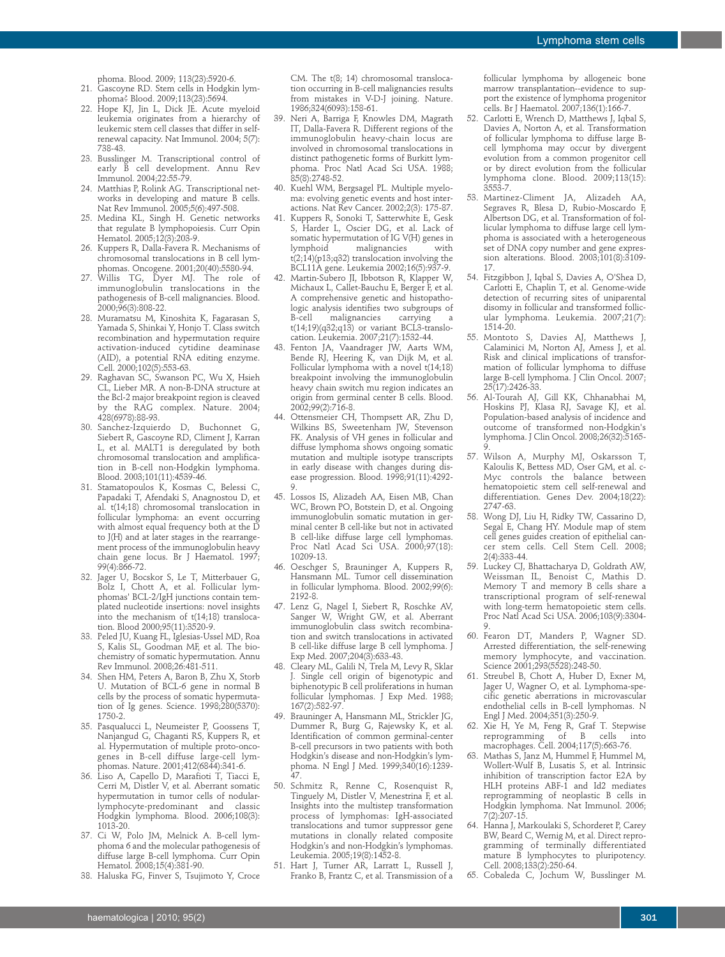phoma. Blood. 2009; 113(23):5920-6.

- 21. Gascoyne RD. Stem cells in Hodgkin lymphoma? Blood. 2009;113(23):5694.
- 22. Hope KJ, Jin L, Dick JE. Acute myeloid leukemia originates from a hierarchy of leukemic stem cell classes that differ in selfrenewal capacity. Nat Immunol. 2004; 5(7): 738-43.
- 23. Busslinger M. Transcriptional control of early B cell development. Annu Rev Immunol. 2004;22:55-79.
- 24. Matthias P, Rolink AG. Transcriptional networks in developing and mature B cells. Nat Rev Immunol. 2005;5(6):497-508.
- 25. Medina KL, Singh H. Genetic networks that regulate B lymphopoiesis. Curr Opin Hematol. 2005;12(3):203-9.
- 26. Kuppers R, Dalla-Favera R. Mechanisms of chromosomal translocations in B cell lymphomas. Oncogene. 2001;20(40):5580-94.
- 27. Willis TG, Dyer MJ. The role of immunoglobulin translocations in the pathogenesis of B-cell malignancies. Blood. 2000;96(3):808-22.
- 28. Muramatsu M, Kinoshita K, Fagarasan S, Yamada S, Shinkai Y, Honjo T. Class switch recombination and hypermutation require activation-induced cytidine deaminase (AID), a potential RNA editing enzyme. Cell. 2000;102(5):553-63.
- 29. Raghavan SC, Swanson PC, Wu X, Hsieh CL, Lieber MR. A non-B-DNA structure at the Bcl-2 major breakpoint region is cleaved by the RAG complex. Nature. 2004; 428(6978):88-93.
- 30. Sanchez-Izquierdo D, Buchonnet G, Siebert R, Gascoyne RD, Climent J, Karran L, et al. MALT1 is deregulated by both chromosomal translocation and amplification in B-cell non-Hodgkin lymphoma. Blood. 2003;101(11):4539-46.
- 31. Stamatopoulos K, Kosmas C, Belessi C, Papadaki T, Afendaki S, Anagnostou D, et al. t(14;18) chromosomal translocation in follicular lymphoma: an event occurring with almost equal frequency both at the D to J(H) and at later stages in the rearrangement process of the immunoglobulin heavy chain gene locus. Br J Haematol. 1997; 99(4):866-72.
- 32. Jager U, Bocskor S, Le T, Mitterbauer G, Bolz I, Chott A, et al. Follicular lymphomas' BCL-2/IgH junctions contain templated nucleotide insertions: novel insights into the mechanism of t(14;18) translocation. Blood 2000;95(11):3520-9.
- 33. Peled JU, Kuang FL, Iglesias-Ussel MD, Roa S, Kalis SL, Goodman MF, et al. The biochemistry of somatic hypermutation. Annu Rev Immunol. 2008;26:481-511.
- 34. Shen HM, Peters A, Baron B, Zhu X, Storb U. Mutation of BCL-6 gene in normal B cells by the process of somatic hypermutation of Ig genes. Science. 1998;280(5370): 1750-2.
- 35. Pasqualucci L, Neumeister P, Goossens T, Nanjangud G, Chaganti RS, Kuppers R, et al. Hypermutation of multiple proto-oncogenes in B-cell diffuse large-cell lymphomas. Nature. 2001;412(6844):341-6.
- 36. Liso A, Capello D, Marafioti T, Tiacci E, Cerri M, Distler V, et al. Aberrant somatic hypermutation in tumor cells of nodularlymphocyte-predominant and classic Hodgkin lymphoma. Blood. 2006;108(3): 1013-20.
- 37. Ci W, Polo JM, Melnick A. B-cell lymphoma 6 and the molecular pathogenesis of diffuse large B-cell lymphoma. Curr Opin Hematol. 2008;15(4):381-90.
- 38. Haluska FG, Finver S, Tsujimoto Y, Croce

CM. The t(8; 14) chromosomal translocation occurring in B-cell malignancies results from mistakes in V-D-J joining. Nature. 1986;324(6093):158-61.

- 39. Neri A, Barriga F, Knowles DM, Magrath IT, Dalla-Favera R. Different regions of the immunoglobulin heavy-chain locus are involved in chromosomal translocations in distinct pathogenetic forms of Burkitt lymphoma. Proc Natl Acad Sci USA. 1988; 85(8):2748-52.
- 40. Kuehl WM, Bergsagel PL. Multiple myeloma: evolving genetic events and host interactions. Nat Rev Cancer. 2002;2(3): 175-87.
- 41. Kuppers R, Sonoki T, Satterwhite E, Gesk S, Harder L, Oscier DG, et al. Lack of somatic hypermutation of IG V(H) genes in<br>lymphoid malignancies with malignancies  $t(2,14)(p13,q32)$  translocation involving the BCL11A gene. Leukemia 2002;16(5):937-9.
- 42. Martin-Subero JI, Ibbotson R, Klapper W, Michaux L, Callet-Bauchu E, Berger F, et al. A comprehensive genetic and histopathologic analysis identifies two subgroups of B-cell malignancies carrying  $t(14;19)(q32;q13)$  or variant BCL3-translocation. Leukemia. 2007;21(7):1532-44.
- 43. Fenton JA, Vaandrager JW, Aarts WM, Bende RJ, Heering K, van Dijk M, et al. Follicular lymphoma with a novel t(14;18) breakpoint involving the immunoglobulin heavy chain switch mu region indicates an origin from germinal center B cells. Blood. 2002;99(2):716-8.
- Ottensmeier CH, Thompsett AR, Zhu D, Wilkins BS, Sweetenham JW, Stevenson FK. Analysis of VH genes in follicular and diffuse lymphoma shows ongoing somatic mutation and multiple isotype transcripts in early disease with changes during disease progression. Blood. 1998;91(11):4292- 9.
- 45. Lossos IS, Alizadeh AA, Eisen MB, Chan WC, Brown PO, Botstein D, et al. Ongoing immunoglobulin somatic mutation in germinal center B cell-like but not in activated B cell-like diffuse large cell lymphomas. Proc Natl Acad Sci USA. 2000;97(18): 10209-13.
- 46. Oeschger S, Brauninger A, Kuppers R, Hansmann ML. Tumor cell dissemination in follicular lymphoma. Blood. 2002;99(6): 2192-8.
- 47. Lenz G, Nagel I, Siebert R, Roschke AV, Sanger W, Wright GW, et al. Aberrant immunoglobulin class switch recombination and switch translocations in activated B cell-like diffuse large B cell lymphoma. J Exp Med. 2007;204(3):633-43.
- 48. Cleary ML, Galili N, Trela M, Levy R, Sklar Single cell origin of bigenotypic and biphenotypic B cell proliferations in human follicular lymphomas. J Exp Med. 1988; 167(2):582-97.
- 49. Brauninger A, Hansmann ML, Strickler JG, Dummer R, Burg G, Rajewsky K, et al. Identification of common germinal-center B-cell precursors in two patients with both Hodgkin's disease and non-Hodgkin's lymphoma. N Engl J Med. 1999;340(16):1239-.<br>47
- 50. Schmitz R, Renne C, Rosenquist R, Tinguely M, Distler V, Menestrina F, et al. Insights into the multistep transformation process of lymphomas: IgH-associated translocations and tumor suppressor gene mutations in clonally related composite Hodgkin's and non-Hodgkin's lymphomas. Leukemia. 2005;19(8):1452-8.
- 51. Hart J, Turner AR, Larratt L, Russell J, Franko B, Frantz C, et al. Transmission of a

follicular lymphoma by allogeneic bone marrow transplantation--evidence to support the existence of lymphoma progenitor cells. Br J Haematol. 2007;136(1):166-7.

- 52. Carlotti E, Wrench D, Matthews J, Iqbal S, Davies A, Norton A, et al. Transformation of follicular lymphoma to diffuse large Bcell lymphoma may occur by divergent evolution from a common progenitor cell or by direct evolution from the follicular lymphoma clone. Blood. 2009;113(15): 3553-7.
- 53. Martinez-Climent JA, Alizadeh AA, Segraves R, Blesa D, Rubio-Moscardo F, Albertson DG, et al. Transformation of follicular lymphoma to diffuse large cell lymphoma is associated with a heterogeneous set of DNA copy number and gene expression alterations. Blood. 2003;101(8):3109- 17.
- 54. Fitzgibbon J, Iqbal S, Davies A, O'Shea D, Carlotti E, Chaplin T, et al. Genome-wide detection of recurring sites of uniparental disomy in follicular and transformed follicular lymphoma. Leukemia. 2007;21(7): 1514-20.
- 55. Montoto S, Davies AJ, Matthews J, Calaminici M, Norton AJ, Amess J, et al. Risk and clinical implications of transformation of follicular lymphoma to diffuse large B-cell lymphoma. J Clin Oncol. 2007; 25(17):2426-33.
- 56. Al-Tourah AJ, Gill KK, Chhanabhai M, Hoskins PJ, Klasa RJ, Savage KJ, et al. Population-based analysis of incidence and outcome of transformed non-Hodgkin's lymphoma. J Clin Oncol. 2008;26(32):5165- 9.
- 57. Wilson A, Murphy MJ, Oskarsson T, Kaloulis K, Bettess MD, Oser GM, et al. c-Myc controls the balance between hematopoietic stem cell self-renewal and differentiation. Genes Dev. 2004;18(22): 2747-63.
- 58. Wong DJ, Liu H, Ridky TW, Cassarino D, Segal E, Chang HY. Module map of stem cell genes guides creation of epithelial cancer stem cells. Cell Stem Cell. 2008; 2(4):333-44.
- 59. Luckey CJ, Bhattacharya D, Goldrath AW, Weissman IL, Benoist C, Mathis D. Memory T and memory B cells share a transcriptional program of self-renewal with long-term hematopoietic stem cells. Proc Natl Acad Sci USA. 2006;103(9):3304- 9.
- 60. Fearon DT, Manders P, Wagner SD. Arrested differentiation, the self-renewing memory lymphocyte, and vaccination. Science 2001;293(5528):248-50.
- 61. Streubel B, Chott A, Huber D, Exner M, Jager U, Wagner O, et al. Lymphoma-specific genetic aberrations in microvascular endothelial cells in B-cell lymphomas. N Engl J Med. 2004;351(3):250-9.
- 62. Xie H, Ye M, Feng R, Graf T. Stepwise reprogramming of B cells into macrophages. Cell. 2004;117(5):663-76.
- 63. Mathas S, Janz M, Hummel F, Hummel M, Wollert-Wulf B, Lusatis S, et al. Intrinsic inhibition of transcription factor E2A by HLH proteins ABF-1 and Id2 mediates reprogramming of neoplastic B cells in Hodgkin lymphoma. Nat Immunol. 2006; 7(2):207-15.
- 64. Hanna J, Markoulaki S, Schorderet P, Carey BW, Beard C, Wernig M, et al. Direct reprogramming of terminally differentiated mature B lymphocytes to pluripotency. Cell. 2008;133(2):250-64.
- 65. Cobaleda C, Jochum W, Busslinger M.